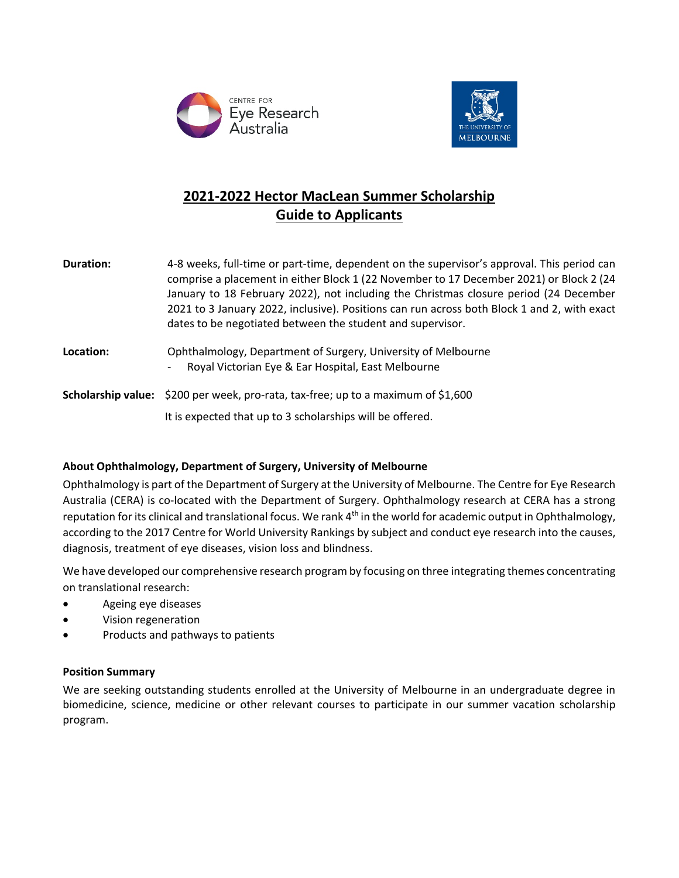



# **2021-2022 Hector MacLean Summer Scholarship Guide to Applicants**

| <b>Duration:</b> | 4-8 weeks, full-time or part-time, dependent on the supervisor's approval. This period can<br>comprise a placement in either Block 1 (22 November to 17 December 2021) or Block 2 (24<br>January to 18 February 2022), not including the Christmas closure period (24 December<br>2021 to 3 January 2022, inclusive). Positions can run across both Block 1 and 2, with exact<br>dates to be negotiated between the student and supervisor. |
|------------------|---------------------------------------------------------------------------------------------------------------------------------------------------------------------------------------------------------------------------------------------------------------------------------------------------------------------------------------------------------------------------------------------------------------------------------------------|
| Location:        | Ophthalmology, Department of Surgery, University of Melbourne<br>Royal Victorian Eye & Ear Hospital, East Melbourne<br>$\overline{\phantom{a}}$                                                                                                                                                                                                                                                                                             |
|                  | <b>Scholarship value:</b> \$200 per week, pro-rata, tax-free; up to a maximum of \$1,600                                                                                                                                                                                                                                                                                                                                                    |
|                  | It is expected that up to 3 scholarships will be offered.                                                                                                                                                                                                                                                                                                                                                                                   |

# **About Ophthalmology, Department of Surgery, University of Melbourne**

Ophthalmology is part of the Department of Surgery at the University of Melbourne. The Centre for Eye Research Australia (CERA) is co-located with the Department of Surgery. Ophthalmology research at CERA has a strong reputation for its clinical and translational focus. We rank 4<sup>th</sup> in the world for academic output in Ophthalmology, according to the 2017 Centre for World University Rankings by subject and conduct eye research into the causes, diagnosis, treatment of eye diseases, vision loss and blindness.

We have developed our comprehensive research program by focusing on three integrating themes concentrating on translational research:

- Ageing eye diseases
- Vision regeneration
- Products and pathways to patients

# **Position Summary**

We are seeking outstanding students enrolled at the University of Melbourne in an undergraduate degree in biomedicine, science, medicine or other relevant courses to participate in our summer vacation scholarship program.